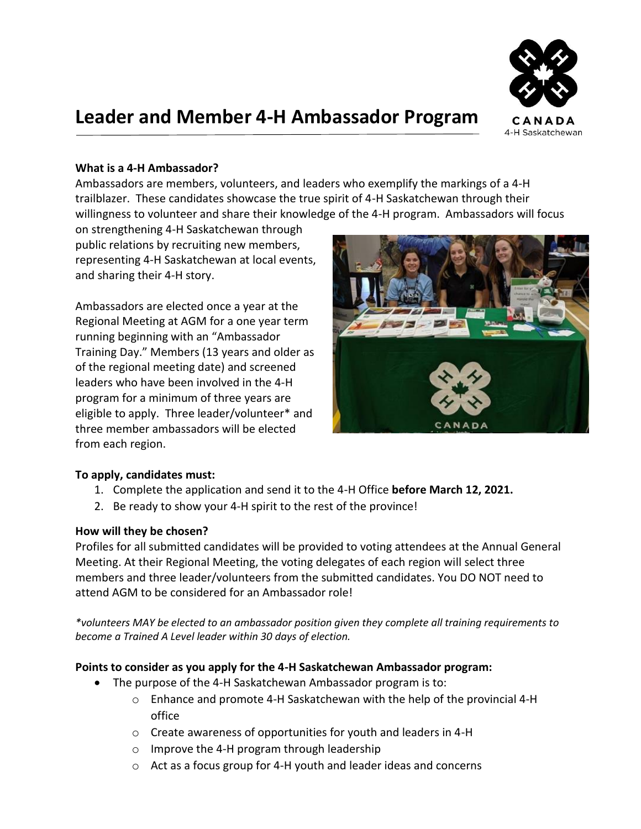

# **Leader and Member 4-H Ambassador Program**

## **What is a 4-H Ambassador?**

Ambassadors are members, volunteers, and leaders who exemplify the markings of a 4-H trailblazer. These candidates showcase the true spirit of 4-H Saskatchewan through their willingness to volunteer and share their knowledge of the 4-H program. Ambassadors will focus

on strengthening 4-H Saskatchewan through public relations by recruiting new members, representing 4-H Saskatchewan at local events, and sharing their 4-H story.

Ambassadors are elected once a year at the Regional Meeting at AGM for a one year term running beginning with an "Ambassador Training Day." Members (13 years and older as of the regional meeting date) and screened leaders who have been involved in the 4-H program for a minimum of three years are eligible to apply. Three leader/volunteer\* and three member ambassadors will be elected from each region.



# **To apply, candidates must:**

- 1. Complete the application and send it to the 4-H Office **before March 12, 2021.**
- 2. Be ready to show your 4-H spirit to the rest of the province!

#### **How will they be chosen?**

Profiles for all submitted candidates will be provided to voting attendees at the Annual General Meeting. At their Regional Meeting, the voting delegates of each region will select three members and three leader/volunteers from the submitted candidates. You DO NOT need to attend AGM to be considered for an Ambassador role!

*\*volunteers MAY be elected to an ambassador position given they complete all training requirements to become a Trained A Level leader within 30 days of election.* 

#### **Points to consider as you apply for the 4-H Saskatchewan Ambassador program:**

- The purpose of the 4-H Saskatchewan Ambassador program is to:
	- $\circ$  Enhance and promote 4-H Saskatchewan with the help of the provincial 4-H office
	- o Create awareness of opportunities for youth and leaders in 4-H
	- o Improve the 4-H program through leadership
	- o Act as a focus group for 4-H youth and leader ideas and concerns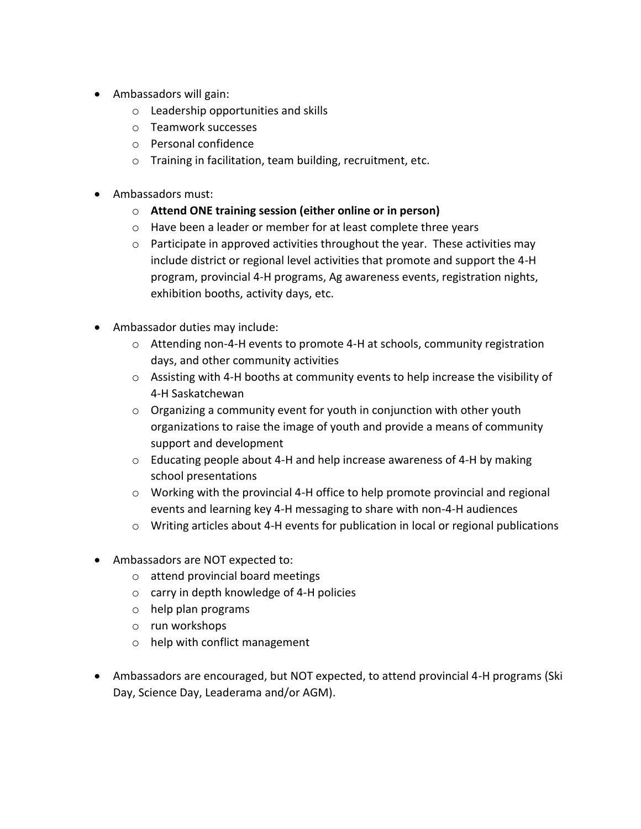- Ambassadors will gain:
	- o Leadership opportunities and skills
	- o Teamwork successes
	- o Personal confidence
	- o Training in facilitation, team building, recruitment, etc.
- Ambassadors must:
	- o **Attend ONE training session (either online or in person)**
	- o Have been a leader or member for at least complete three years
	- $\circ$  Participate in approved activities throughout the year. These activities may include district or regional level activities that promote and support the 4-H program, provincial 4-H programs, Ag awareness events, registration nights, exhibition booths, activity days, etc.
- Ambassador duties may include:
	- o Attending non-4-H events to promote 4-H at schools, community registration days, and other community activities
	- $\circ$  Assisting with 4-H booths at community events to help increase the visibility of 4-H Saskatchewan
	- o Organizing a community event for youth in conjunction with other youth organizations to raise the image of youth and provide a means of community support and development
	- o Educating people about 4-H and help increase awareness of 4-H by making school presentations
	- o Working with the provincial 4-H office to help promote provincial and regional events and learning key 4-H messaging to share with non-4-H audiences
	- o Writing articles about 4-H events for publication in local or regional publications
- Ambassadors are NOT expected to:
	- o attend provincial board meetings
	- o carry in depth knowledge of 4-H policies
	- o help plan programs
	- o run workshops
	- o help with conflict management
- Ambassadors are encouraged, but NOT expected, to attend provincial 4-H programs (Ski Day, Science Day, Leaderama and/or AGM).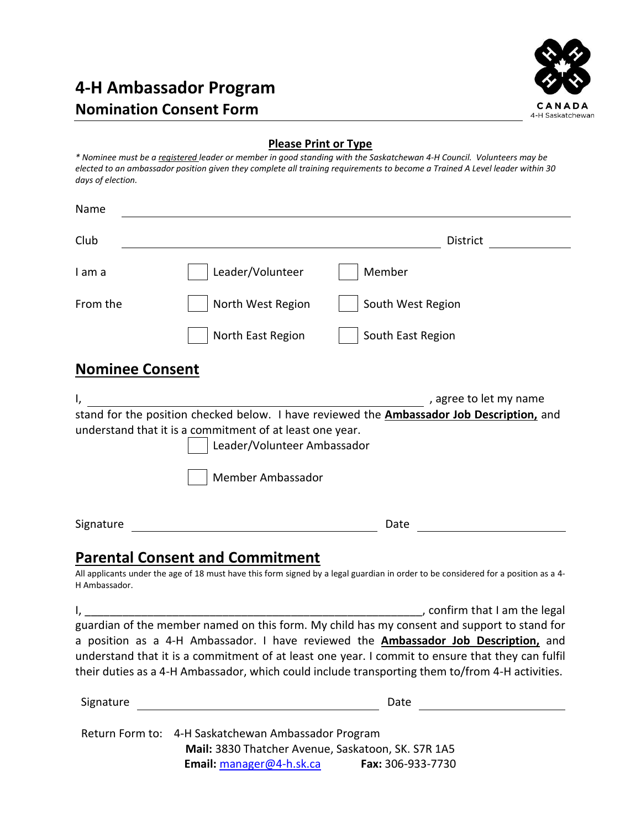# **4-H Ambassador Program Nomination Consent Form**



## **Please Print or Type**

*\* Nominee must be a registered leader or member in good standing with the Saskatchewan 4-H Council. Volunteers may be elected to an ambassador position given they complete all training requirements to become a Trained A Level leader within 30 days of election.* 

| Name          |                                                                                                                                                                                                                                             |
|---------------|---------------------------------------------------------------------------------------------------------------------------------------------------------------------------------------------------------------------------------------------|
| Club          | District                                                                                                                                                                                                                                    |
| I am a        | Leader/Volunteer<br>Member                                                                                                                                                                                                                  |
| From the      | North West Region<br>South West Region                                                                                                                                                                                                      |
|               | North East Region<br>South East Region                                                                                                                                                                                                      |
|               | <b>Nominee Consent</b>                                                                                                                                                                                                                      |
|               | , agree to let my name<br>stand for the position checked below. I have reviewed the <b>Ambassador Job Description</b> , and<br>understand that it is a commitment of at least one year.<br>Leader/Volunteer Ambassador<br>Member Ambassador |
| Signature     | Date                                                                                                                                                                                                                                        |
|               | <b>Parental Consent and Commitment</b>                                                                                                                                                                                                      |
| H Ambassador. | All applicants under the age of 18 must have this form signed by a legal guardian in order to be considered for a position as a 4-                                                                                                          |
|               | , confirm that I am the legal                                                                                                                                                                                                               |
|               | guardian of the member named on this form. My child has my consent and support to stand for                                                                                                                                                 |
|               | a position as a 4-H Ambassador. I have reviewed the <b>Ambassador Job Description</b> , and                                                                                                                                                 |
|               | understand that it is a commitment of at least one year. I commit to ensure that they can fulfil                                                                                                                                            |
|               | their duties as a 4-H Ambassador, which could include transporting them to/from 4-H activities.                                                                                                                                             |
| Signature     | Date                                                                                                                                                                                                                                        |
|               |                                                                                                                                                                                                                                             |

 Return Form to: 4-H Saskatchewan Ambassador Program **Mail:** 3830 Thatcher Avenue, Saskatoon, SK. S7R 1A5 **Email:** [manager@4-h.sk.ca](mailto:manager@4-h.sk.ca) **Fax:** 306-933-7730